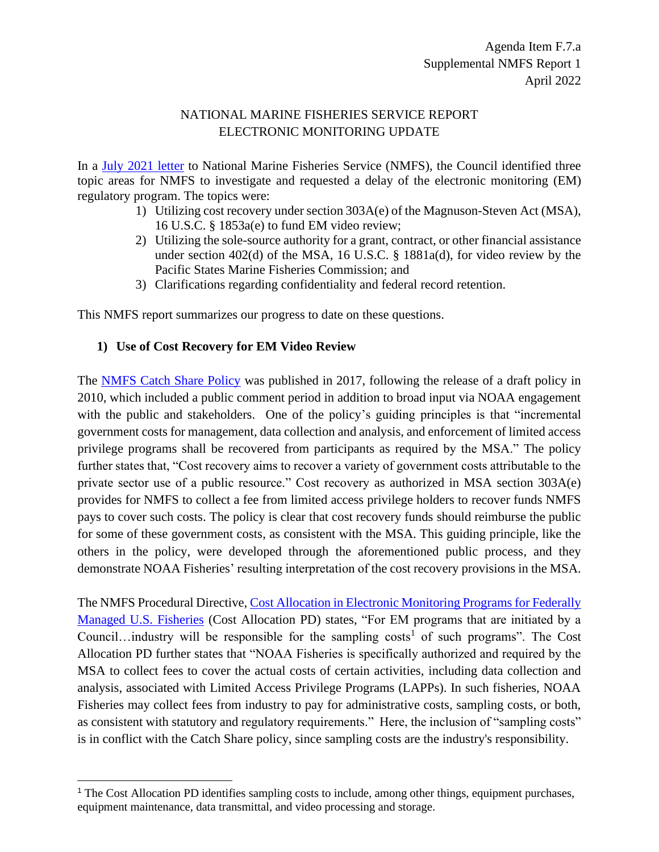## NATIONAL MARINE FISHERIES SERVICE REPORT ELECTRONIC MONITORING UPDATE

In a [July 2021 letter](https://www.pcouncil.org/documents/2021/07/july-2021-letter-to-noaa-on-electronic-monitoring-delay.pdf/) to National Marine Fisheries Service (NMFS), the Council identified three topic areas for NMFS to investigate and requested a delay of the electronic monitoring (EM) regulatory program. The topics were:

- 1) Utilizing cost recovery under section 303A(e) of the Magnuson-Steven Act (MSA), 16 U.S.C. § 1853a(e) to fund EM video review;
- 2) Utilizing the sole-source authority for a grant, contract, or other financial assistance under section 402(d) of the MSA, 16 U.S.C. § 1881a(d), for video review by the Pacific States Marine Fisheries Commission; and
- 3) Clarifications regarding confidentiality and federal record retention.

This NMFS report summarizes our progress to date on these questions.

## **1) Use of Cost Recovery for EM Video Review**

The [NMFS Catch Share Policy](https://media.fisheries.noaa.gov/dam-migration/01-121.pdf) was published in 2017, following the release of a draft policy in 2010, which included a public comment period in addition to broad input via NOAA engagement with the public and stakeholders. One of the policy's guiding principles is that "incremental" government costs for management, data collection and analysis, and enforcement of limited access privilege programs shall be recovered from participants as required by the MSA." The policy further states that, "Cost recovery aims to recover a variety of government costs attributable to the private sector use of a public resource." Cost recovery as authorized in MSA section 303A(e) provides for NMFS to collect a fee from limited access privilege holders to recover funds NMFS pays to cover such costs. The policy is clear that cost recovery funds should reimburse the public for some of these government costs, as consistent with the MSA. This guiding principle, like the others in the policy, were developed through the aforementioned public process, and they demonstrate NOAA Fisheries' resulting interpretation of the cost recovery provisions in the MSA.

The NMFS Procedural Directive, Cost Allocation in Electronic Monitoring Programs for Federally [Managed U.S. Fisheries](https://media.fisheries.noaa.gov/dam-migration/04-115-02.pdf) (Cost Allocation PD) states, "For EM programs that are initiated by a Council...industry will be responsible for the sampling costs<sup>1</sup> of such programs". The Cost Allocation PD further states that "NOAA Fisheries is specifically authorized and required by the MSA to collect fees to cover the actual costs of certain activities, including data collection and analysis, associated with Limited Access Privilege Programs (LAPPs). In such fisheries, NOAA Fisheries may collect fees from industry to pay for administrative costs, sampling costs, or both, as consistent with statutory and regulatory requirements." Here, the inclusion of "sampling costs" is in conflict with the Catch Share policy, since sampling costs are the industry's responsibility.

<sup>1</sup> The Cost Allocation PD identifies sampling costs to include, among other things, equipment purchases, equipment maintenance, data transmittal, and video processing and storage.